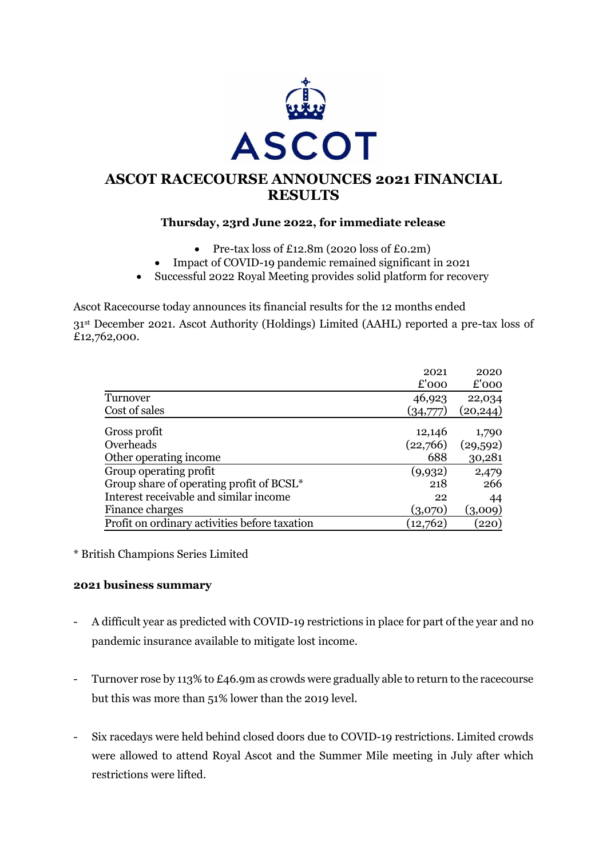

# **ASCOT RACECOURSE ANNOUNCES 2021 FINANCIAL RESULTS**

# **Thursday, 23rd June 2022, for immediate release**

- Pre-tax loss of £12.8m (2020 loss of £0.2m)
- Impact of COVID-19 pandemic remained significant in 2021
- Successful 2022 Royal Meeting provides solid platform for recovery

Ascot Racecourse today announces its financial results for the 12 months ended

31st December 2021. Ascot Authority (Holdings) Limited (AAHL) reported a pre-tax loss of £12,762,000.

|                                               | 2021     | 2020      |
|-----------------------------------------------|----------|-----------|
|                                               | £'000    | £'000     |
| Turnover                                      | 46,923   | 22,034    |
| Cost of sales                                 | (34,777) | (20, 244) |
| Gross profit                                  | 12,146   | 1,790     |
| Overheads                                     | (22,766) | (29, 592) |
| Other operating income                        | 688      | 30,281    |
| Group operating profit                        | (9,932)  | 2,479     |
| Group share of operating profit of BCSL*      | 218      | 266       |
| Interest receivable and similar income        | 22       | 44        |
| Finance charges                               | (3,070)  | (3,009)   |
| Profit on ordinary activities before taxation | (12,762) | (220)     |

\* British Champions Series Limited

#### **2021 business summary**

- A difficult year as predicted with COVID-19 restrictions in place for part of the year and no pandemic insurance available to mitigate lost income.
- Turnover rose by 113% to £46.9m as crowds were gradually able to return to the racecourse but this was more than 51% lower than the 2019 level.
- Six racedays were held behind closed doors due to COVID-19 restrictions. Limited crowds were allowed to attend Royal Ascot and the Summer Mile meeting in July after which restrictions were lifted.